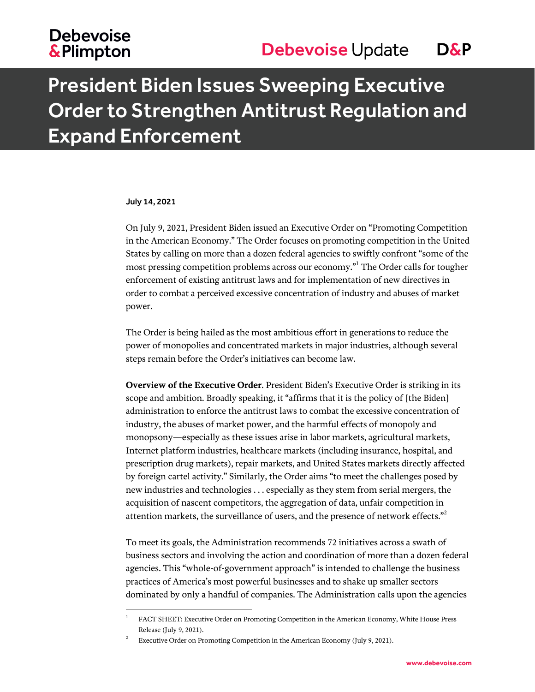## **Debevoise &Plimpton**

# President Biden Issues Sweeping Executive Order to Strengthen Antitrust Regulation and Expand Enforcement

#### July 14, 2021

l

On July 9, 2021, President Biden issued an Executive Order on "Promoting Competition in the American Economy." The Order focuses on promoting competition in the United States by calling on more than a dozen federal agencies to swiftly confront "some of the most pressing competition problems across our economy."<sup>1</sup> The Order calls for tougher enforcement of existing antitrust laws and for implementation of new directives in order to combat a perceived excessive concentration of industry and abuses of market power.

The Order is being hailed as the most ambitious effort in generations to reduce the power of monopolies and concentrated markets in major industries, although several steps remain before the Order's initiatives can become law.

**Overview of the Executive Order**. President Biden's Executive Order is striking in its scope and ambition. Broadly speaking, it "affirms that it is the policy of [the Biden] administration to enforce the antitrust laws to combat the excessive concentration of industry, the abuses of market power, and the harmful effects of monopoly and monopsony—especially as these issues arise in labor markets, agricultural markets, Internet platform industries, healthcare markets (including insurance, hospital, and prescription drug markets), repair markets, and United States markets directly affected by foreign cartel activity." Similarly, the Order aims "to meet the challenges posed by new industries and technologies . . . especially as they stem from serial mergers, the acquisition of nascent competitors, the aggregation of data, unfair competition in attention markets, the surveillance of users, and the presence of network effects."<sup>2</sup>

To meet its goals, the Administration recommends 72 initiatives across a swath of business sectors and involving the action and coordination of more than a dozen federal agencies. This "whole-of-government approach" is intended to challenge the business practices of America's most powerful businesses and to shake up smaller sectors dominated by only a handful of companies. The Administration calls upon the agencies

<sup>1</sup> FACT SHEET: Executive Order on Promoting Competition in the American Economy, White House Press Release (July 9, 2021).

<sup>2</sup> Executive Order on Promoting Competition in the American Economy (July 9, 2021).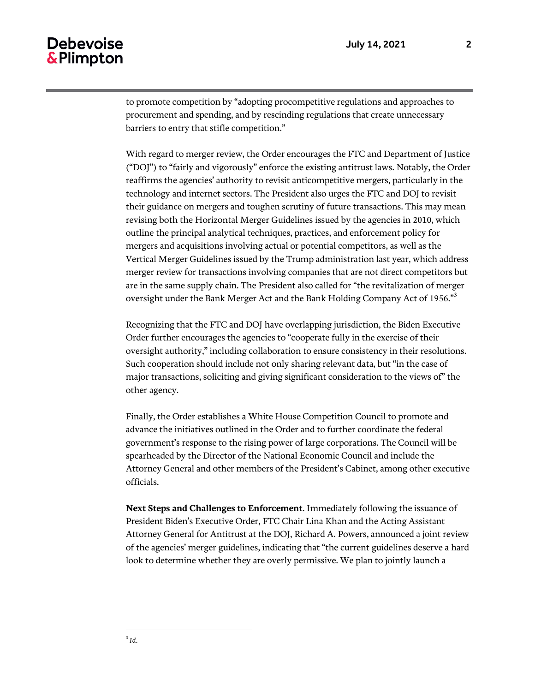#### **Debevoise** & Plimpton

to promote competition by "adopting procompetitive regulations and approaches to procurement and spending, and by rescinding regulations that create unnecessary barriers to entry that stifle competition."

With regard to merger review, the Order encourages the FTC and Department of Justice ("DOJ") to "fairly and vigorously" enforce the existing antitrust laws. Notably, the Order reaffirms the agencies' authority to revisit anticompetitive mergers, particularly in the technology and internet sectors. The President also urges the FTC and DOJ to revisit their guidance on mergers and toughen scrutiny of future transactions. This may mean revising both the Horizontal Merger Guidelines issued by the agencies in 2010, which outline the principal analytical techniques, practices, and enforcement policy for mergers and acquisitions involving actual or potential competitors, as well as the Vertical Merger Guidelines issued by the Trump administration last year, which address merger review for transactions involving companies that are not direct competitors but are in the same supply chain. The President also called for "the revitalization of merger oversight under the Bank Merger Act and the Bank Holding Company Act of 1956."<sup>3</sup>

Recognizing that the FTC and DOJ have overlapping jurisdiction, the Biden Executive Order further encourages the agencies to "cooperate fully in the exercise of their oversight authority," including collaboration to ensure consistency in their resolutions. Such cooperation should include not only sharing relevant data, but "in the case of major transactions, soliciting and giving significant consideration to the views of" the other agency.

Finally, the Order establishes a White House Competition Council to promote and advance the initiatives outlined in the Order and to further coordinate the federal government's response to the rising power of large corporations. The Council will be spearheaded by the Director of the National Economic Council and include the Attorney General and other members of the President's Cabinet, among other executive officials.

**Next Steps and Challenges to Enforcement**. Immediately following the issuance of President Biden's Executive Order, FTC Chair Lina Khan and the Acting Assistant Attorney General for Antitrust at the DOJ, Richard A. Powers, announced a joint review of the agencies' merger guidelines, indicating that "the current guidelines deserve a hard look to determine whether they are overly permissive. We plan to jointly launch a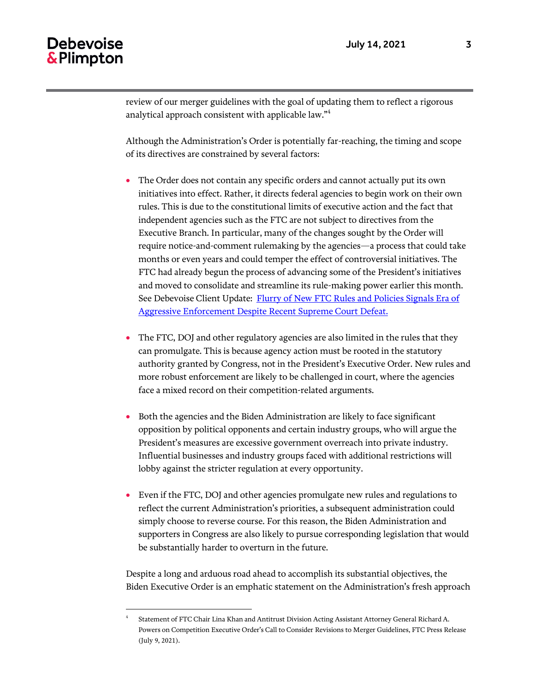### **Debevoise** & Plimpton

l

review of our merger guidelines with the goal of updating them to reflect a rigorous analytical approach consistent with applicable law."<sup>4</sup>

Although the Administration's Order is potentially far-reaching, the timing and scope of its directives are constrained by several factors:

- The Order does not contain any specific orders and cannot actually put its own initiatives into effect. Rather, it directs federal agencies to begin work on their own rules. This is due to the constitutional limits of executive action and the fact that independent agencies such as the FTC are not subject to directives from the Executive Branch. In particular, many of the changes sought by the Order will require notice-and-comment rulemaking by the agencies—a process that could take months or even years and could temper the effect of controversial initiatives. The FTC had already begun the process of advancing some of the President's initiatives and moved to consolidate and streamline its rule-making power earlier this month. See Debevoise Client Update: Flurry of New FTC Rules and Policies Signals Era of [Aggressive Enforcement Despite Recent Supreme Court Defeat.](https://www.debevoise.com/insights/publications/2021/07/flurry-of-new-ftc-rules-and-policies-signals)
- The FTC, DOJ and other regulatory agencies are also limited in the rules that they can promulgate. This is because agency action must be rooted in the statutory authority granted by Congress, not in the President's Executive Order. New rules and more robust enforcement are likely to be challenged in court, where the agencies face a mixed record on their competition-related arguments.
- Both the agencies and the Biden Administration are likely to face significant opposition by political opponents and certain industry groups, who will argue the President's measures are excessive government overreach into private industry. Influential businesses and industry groups faced with additional restrictions will lobby against the stricter regulation at every opportunity.
- Even if the FTC, DOJ and other agencies promulgate new rules and regulations to reflect the current Administration's priorities, a subsequent administration could simply choose to reverse course. For this reason, the Biden Administration and supporters in Congress are also likely to pursue corresponding legislation that would be substantially harder to overturn in the future.

Despite a long and arduous road ahead to accomplish its substantial objectives, the Biden Executive Order is an emphatic statement on the Administration's fresh approach

<sup>4</sup> Statement of FTC Chair Lina Khan and Antitrust Division Acting Assistant Attorney General Richard A. Powers on Competition Executive Order's Call to Consider Revisions to Merger Guidelines, FTC Press Release (July 9, 2021).